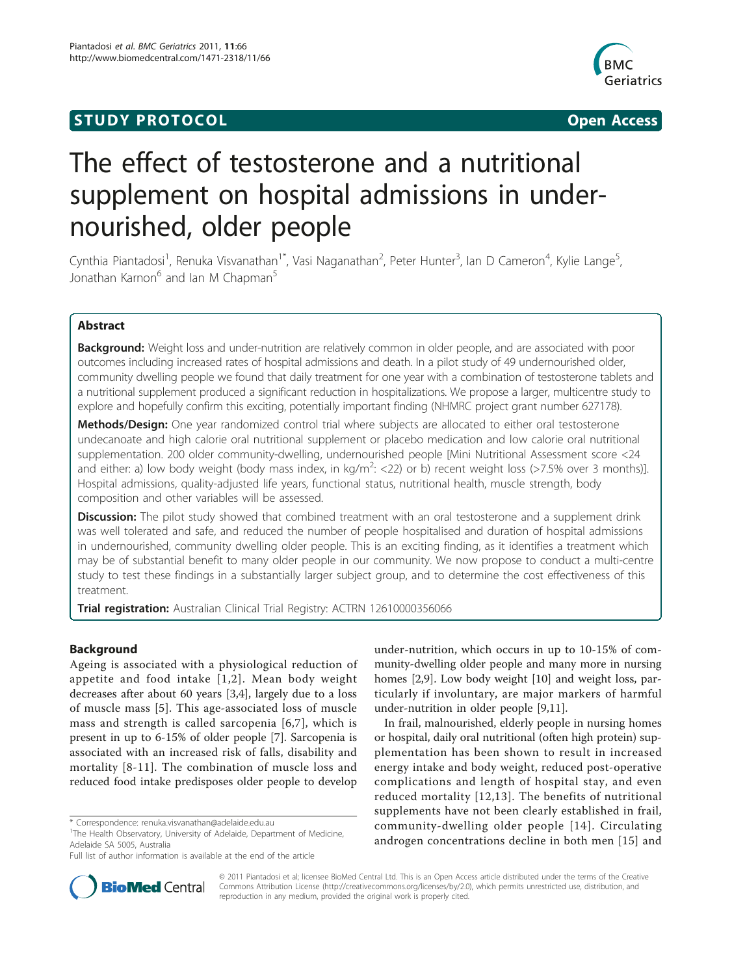# **STUDY PROTOCOL** And the state of the state of the state of the state of the state of the state of the state of the state of the state of the state of the state of the state of the state of the state of the state of the st



# The effect of testosterone and a nutritional supplement on hospital admissions in undernourished, older people

Cynthia Piantadosi<sup>1</sup>, Renuka Visvanathan<sup>1\*</sup>, Vasi Naganathan<sup>2</sup>, Peter Hunter<sup>3</sup>, Ian D Cameron<sup>4</sup>, Kylie Lange<sup>5</sup> , Jonathan Karnon<sup>6</sup> and Ian M Chapman<sup>5</sup>

# Abstract

**Background:** Weight loss and under-nutrition are relatively common in older people, and are associated with poor outcomes including increased rates of hospital admissions and death. In a pilot study of 49 undernourished older, community dwelling people we found that daily treatment for one year with a combination of testosterone tablets and a nutritional supplement produced a significant reduction in hospitalizations. We propose a larger, multicentre study to explore and hopefully confirm this exciting, potentially important finding (NHMRC project grant number 627178).

Methods/Design: One year randomized control trial where subjects are allocated to either oral testosterone undecanoate and high calorie oral nutritional supplement or placebo medication and low calorie oral nutritional supplementation. 200 older community-dwelling, undernourished people [Mini Nutritional Assessment score <24 and either: a) low body weight (body mass index, in kg/m<sup>2</sup>: <22) or b) recent weight loss (>7.5% over 3 months)]. Hospital admissions, quality-adjusted life years, functional status, nutritional health, muscle strength, body composition and other variables will be assessed.

Discussion: The pilot study showed that combined treatment with an oral testosterone and a supplement drink was well tolerated and safe, and reduced the number of people hospitalised and duration of hospital admissions in undernourished, community dwelling older people. This is an exciting finding, as it identifies a treatment which may be of substantial benefit to many older people in our community. We now propose to conduct a multi-centre study to test these findings in a substantially larger subject group, and to determine the cost effectiveness of this treatment.

Trial registration: Australian Clinical Trial Registry: [ACTRN 12610000356066](http://www.anzctr.org.au/ACTRN12610000356066.aspx)

# Background

Ageing is associated with a physiological reduction of appetite and food intake [[1,2\]](#page-6-0). Mean body weight decreases after about 60 years [\[3,4\]](#page-6-0), largely due to a loss of muscle mass [[5](#page-6-0)]. This age-associated loss of muscle mass and strength is called sarcopenia [\[6,7](#page-6-0)], which is present in up to 6-15% of older people [\[7](#page-6-0)]. Sarcopenia is associated with an increased risk of falls, disability and mortality [[8](#page-6-0)-[11](#page-6-0)]. The combination of muscle loss and reduced food intake predisposes older people to develop

under-nutrition, which occurs in up to 10-15% of community-dwelling older people and many more in nursing homes [[2,9\]](#page-6-0). Low body weight [[10\]](#page-6-0) and weight loss, particularly if involuntary, are major markers of harmful under-nutrition in older people [\[9,11\]](#page-6-0).

In frail, malnourished, elderly people in nursing homes or hospital, daily oral nutritional (often high protein) supplementation has been shown to result in increased energy intake and body weight, reduced post-operative complications and length of hospital stay, and even reduced mortality [[12](#page-6-0),[13](#page-6-0)]. The benefits of nutritional supplements have not been clearly established in frail, community-dwelling older people [[14](#page-6-0)]. Circulating androgen concentrations decline in both men [[15\]](#page-6-0) and



© 2011 Piantadosi et al; licensee BioMed Central Ltd. This is an Open Access article distributed under the terms of the Creative Commons Attribution License [\(http://creativecommons.org/licenses/by/2.0](http://creativecommons.org/licenses/by/2.0)), which permits unrestricted use, distribution, and reproduction in any medium, provided the original work is properly cited.

<sup>\*</sup> Correspondence: [renuka.visvanathan@adelaide.edu.au](mailto:renuka.visvanathan@adelaide.edu.au)

<sup>&</sup>lt;sup>1</sup>The Health Observatory, University of Adelaide, Department of Medicine, Adelaide SA 5005, Australia

Full list of author information is available at the end of the article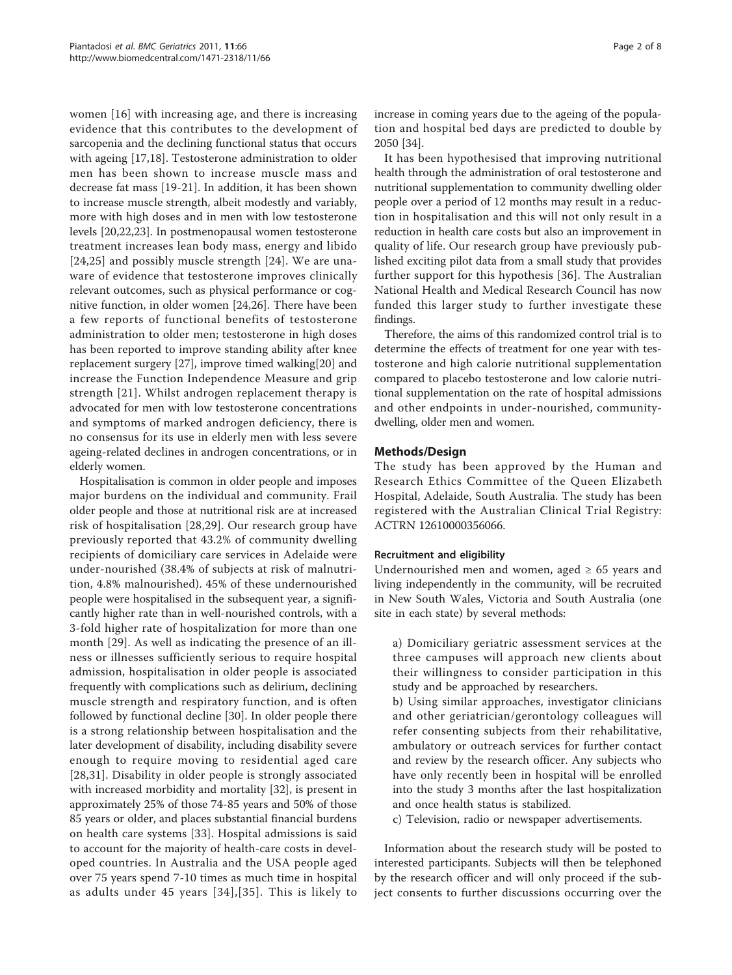women [\[16\]](#page-6-0) with increasing age, and there is increasing evidence that this contributes to the development of sarcopenia and the declining functional status that occurs with ageing [[17,18\]](#page-6-0). Testosterone administration to older men has been shown to increase muscle mass and decrease fat mass [\[19](#page-6-0)-[21\]](#page-6-0). In addition, it has been shown to increase muscle strength, albeit modestly and variably, more with high doses and in men with low testosterone levels [\[20,22,23\]](#page-6-0). In postmenopausal women testosterone treatment increases lean body mass, energy and libido [[24](#page-6-0),[25\]](#page-6-0) and possibly muscle strength [[24\]](#page-6-0). We are unaware of evidence that testosterone improves clinically relevant outcomes, such as physical performance or cognitive function, in older women [\[24,26](#page-6-0)]. There have been a few reports of functional benefits of testosterone administration to older men; testosterone in high doses has been reported to improve standing ability after knee replacement surgery [\[27\]](#page-6-0), improve timed walking[[20\]](#page-6-0) and increase the Function Independence Measure and grip strength [[21\]](#page-6-0). Whilst androgen replacement therapy is advocated for men with low testosterone concentrations and symptoms of marked androgen deficiency, there is no consensus for its use in elderly men with less severe ageing-related declines in androgen concentrations, or in elderly women.

Hospitalisation is common in older people and imposes major burdens on the individual and community. Frail older people and those at nutritional risk are at increased risk of hospitalisation [[28](#page-6-0),[29\]](#page-6-0). Our research group have previously reported that 43.2% of community dwelling recipients of domiciliary care services in Adelaide were under-nourished (38.4% of subjects at risk of malnutrition, 4.8% malnourished). 45% of these undernourished people were hospitalised in the subsequent year, a significantly higher rate than in well-nourished controls, with a 3-fold higher rate of hospitalization for more than one month [[29\]](#page-6-0). As well as indicating the presence of an illness or illnesses sufficiently serious to require hospital admission, hospitalisation in older people is associated frequently with complications such as delirium, declining muscle strength and respiratory function, and is often followed by functional decline [\[30\]](#page-6-0). In older people there is a strong relationship between hospitalisation and the later development of disability, including disability severe enough to require moving to residential aged care [[28](#page-6-0),[31\]](#page-6-0). Disability in older people is strongly associated with increased morbidity and mortality [[32](#page-6-0)], is present in approximately 25% of those 74-85 years and 50% of those 85 years or older, and places substantial financial burdens on health care systems [\[33\]](#page-6-0). Hospital admissions is said to account for the majority of health-care costs in developed countries. In Australia and the USA people aged over 75 years spend 7-10 times as much time in hospital as adults under 45 years [[34](#page-6-0)],[[35](#page-6-0)]. This is likely to increase in coming years due to the ageing of the population and hospital bed days are predicted to double by 2050 [\[34\]](#page-6-0).

It has been hypothesised that improving nutritional health through the administration of oral testosterone and nutritional supplementation to community dwelling older people over a period of 12 months may result in a reduction in hospitalisation and this will not only result in a reduction in health care costs but also an improvement in quality of life. Our research group have previously published exciting pilot data from a small study that provides further support for this hypothesis [[36\]](#page-6-0). The Australian National Health and Medical Research Council has now funded this larger study to further investigate these findings.

Therefore, the aims of this randomized control trial is to determine the effects of treatment for one year with testosterone and high calorie nutritional supplementation compared to placebo testosterone and low calorie nutritional supplementation on the rate of hospital admissions and other endpoints in under-nourished, communitydwelling, older men and women.

#### Methods/Design

The study has been approved by the Human and Research Ethics Committee of the Queen Elizabeth Hospital, Adelaide, South Australia. The study has been registered with the Australian Clinical Trial Registry: [ACTRN 12610000356066](http://www.anzctr.org.au/ACTRN12610000356066.aspx).

#### Recruitment and eligibility

Undernourished men and women, aged  $\geq 65$  years and living independently in the community, will be recruited in New South Wales, Victoria and South Australia (one site in each state) by several methods:

a) Domiciliary geriatric assessment services at the three campuses will approach new clients about their willingness to consider participation in this study and be approached by researchers.

b) Using similar approaches, investigator clinicians and other geriatrician/gerontology colleagues will refer consenting subjects from their rehabilitative, ambulatory or outreach services for further contact and review by the research officer. Any subjects who have only recently been in hospital will be enrolled into the study 3 months after the last hospitalization and once health status is stabilized.

c) Television, radio or newspaper advertisements.

Information about the research study will be posted to interested participants. Subjects will then be telephoned by the research officer and will only proceed if the subject consents to further discussions occurring over the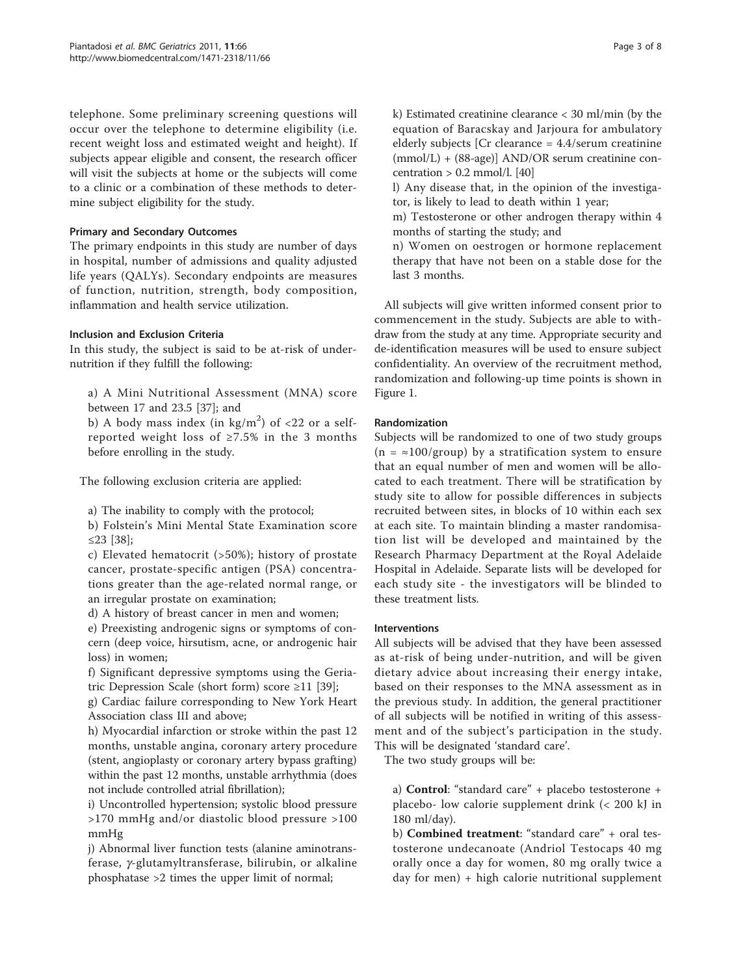telephone. Some preliminary screening questions will occur over the telephone to determine eligibility (i.e. recent weight loss and estimated weight and height). If subjects appear eligible and consent, the research officer will visit the subjects at home or the subjects will come to a clinic or a combination of these methods to determine subject eligibility for the study.

# Primary and Secondary Outcomes

The primary endpoints in this study are number of days in hospital, number of admissions and quality adjusted life years (QALYs). Secondary endpoints are measures of function, nutrition, strength, body composition, inflammation and health service utilization.

# Inclusion and Exclusion Criteria

In this study, the subject is said to be at-risk of undernutrition if they fulfill the following:

a) A Mini Nutritional Assessment (MNA) score between 17 and 23.5 [[37\]](#page-6-0); and

b) A body mass index (in  $\text{kg/m}^2$ ) of <22 or a selfreported weight loss of  $\geq 7.5\%$  in the 3 months before enrolling in the study.

The following exclusion criteria are applied:

a) The inability to comply with the protocol;

b) Folstein's Mini Mental State Examination score ≤23 [\[38\]](#page-6-0);

c) Elevated hematocrit (>50%); history of prostate cancer, prostate-specific antigen (PSA) concentrations greater than the age-related normal range, or an irregular prostate on examination;

d) A history of breast cancer in men and women;

e) Preexisting androgenic signs or symptoms of concern (deep voice, hirsutism, acne, or androgenic hair loss) in women;

f) Significant depressive symptoms using the Geriatric Depression Scale (short form) score ≥11 [[39](#page-6-0)];

g) Cardiac failure corresponding to New York Heart Association class III and above;

h) Myocardial infarction or stroke within the past 12 months, unstable angina, coronary artery procedure (stent, angioplasty or coronary artery bypass grafting) within the past 12 months, unstable arrhythmia (does not include controlled atrial fibrillation);

i) Uncontrolled hypertension; systolic blood pressure >170 mmHg and/or diastolic blood pressure >100 mmHg

j) Abnormal liver function tests (alanine aminotransferase,  $\gamma$ -glutamyltransferase, bilirubin, or alkaline phosphatase >2 times the upper limit of normal;

k) Estimated creatinine clearance < 30 ml/min (by the equation of Baracskay and Jarjoura for ambulatory elderly subjects [Cr clearance = 4.4/serum creatinine (mmol/L) + (88-age)] AND/OR serum creatinine concentration  $> 0.2$  mmol/l. [\[40](#page-6-0)]

l) Any disease that, in the opinion of the investigator, is likely to lead to death within 1 year;

m) Testosterone or other androgen therapy within 4 months of starting the study; and

n) Women on oestrogen or hormone replacement therapy that have not been on a stable dose for the last 3 months.

All subjects will give written informed consent prior to commencement in the study. Subjects are able to withdraw from the study at any time. Appropriate security and de-identification measures will be used to ensure subject confidentiality. An overview of the recruitment method, randomization and following-up time points is shown in Figure [1](#page-3-0).

# Randomization

Subjects will be randomized to one of two study groups  $(n = \infty 100/\text{group})$  by a stratification system to ensure that an equal number of men and women will be allocated to each treatment. There will be stratification by study site to allow for possible differences in subjects recruited between sites, in blocks of 10 within each sex at each site. To maintain blinding a master randomisation list will be developed and maintained by the Research Pharmacy Department at the Royal Adelaide Hospital in Adelaide. Separate lists will be developed for each study site - the investigators will be blinded to these treatment lists.

# Interventions

All subjects will be advised that they have been assessed as at-risk of being under-nutrition, and will be given dietary advice about increasing their energy intake, based on their responses to the MNA assessment as in the previous study. In addition, the general practitioner of all subjects will be notified in writing of this assessment and of the subject's participation in the study. This will be designated 'standard care'.

The two study groups will be:

a) Control: "standard care" + placebo testosterone + placebo- low calorie supplement drink (< 200 kJ in 180 ml/day).

b) Combined treatment: "standard care" + oral testosterone undecanoate (Andriol Testocaps 40 mg orally once a day for women, 80 mg orally twice a day for men) + high calorie nutritional supplement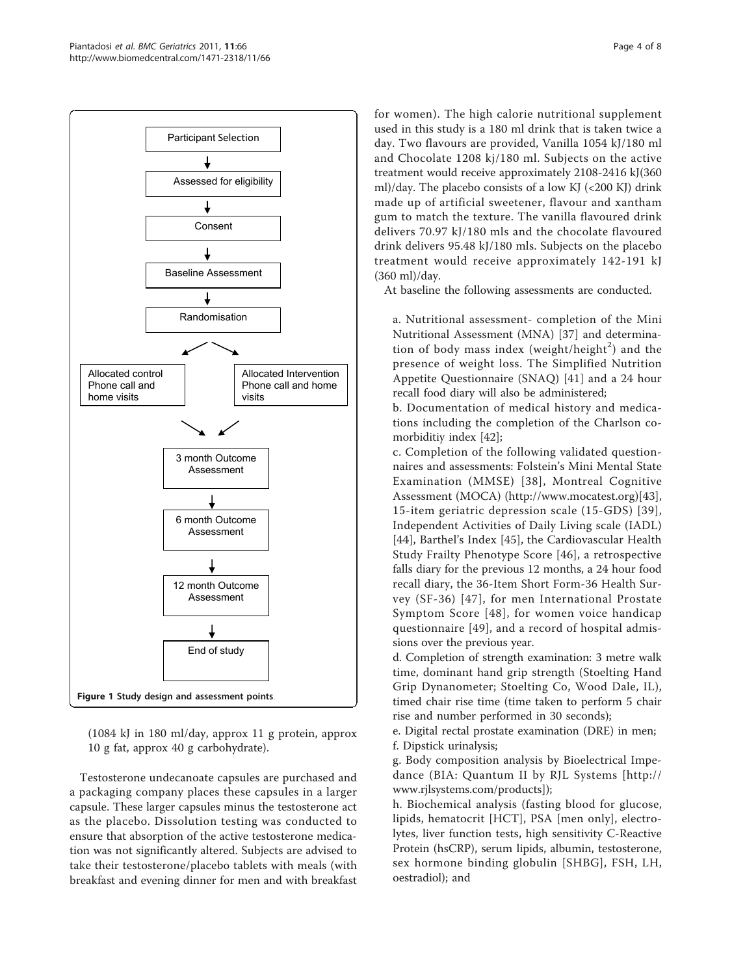<span id="page-3-0"></span>

(1084 kJ in 180 ml/day, approx 11 g protein, approx 10 g fat, approx 40 g carbohydrate).

Testosterone undecanoate capsules are purchased and a packaging company places these capsules in a larger capsule. These larger capsules minus the testosterone act as the placebo. Dissolution testing was conducted to ensure that absorption of the active testosterone medication was not significantly altered. Subjects are advised to take their testosterone/placebo tablets with meals (with breakfast and evening dinner for men and with breakfast for women). The high calorie nutritional supplement used in this study is a 180 ml drink that is taken twice a day. Two flavours are provided, Vanilla 1054 kJ/180 ml and Chocolate 1208 kj/180 ml. Subjects on the active treatment would receive approximately 2108-2416 kJ(360 ml)/day. The placebo consists of a low KJ (<200 KJ) drink made up of artificial sweetener, flavour and xantham gum to match the texture. The vanilla flavoured drink delivers 70.97 kJ/180 mls and the chocolate flavoured drink delivers 95.48 kJ/180 mls. Subjects on the placebo treatment would receive approximately 142-191 kJ (360 ml)/day.

At baseline the following assessments are conducted.

a. Nutritional assessment- completion of the Mini Nutritional Assessment (MNA) [[37\]](#page-6-0) and determination of body mass index (weight/height<sup>2</sup>) and the presence of weight loss. The Simplified Nutrition Appetite Questionnaire (SNAQ) [[41](#page-6-0)] and a 24 hour recall food diary will also be administered;

b. Documentation of medical history and medications including the completion of the Charlson comorbiditiy index [[42\]](#page-6-0);

c. Completion of the following validated questionnaires and assessments: Folstein's Mini Mental State Examination (MMSE) [[38](#page-6-0)], Montreal Cognitive Assessment (MOCA) ([http://www.mocatest.org\)](http://www.mocatest.org)[\[43](#page-6-0)], 15-item geriatric depression scale (15-GDS) [[39\]](#page-6-0), Independent Activities of Daily Living scale (IADL) [[44](#page-7-0)], Barthel's Index [[45\]](#page-7-0), the Cardiovascular Health Study Frailty Phenotype Score [[46\]](#page-7-0), a retrospective falls diary for the previous 12 months, a 24 hour food recall diary, the 36-Item Short Form-36 Health Survey (SF-36) [[47](#page-7-0)], for men International Prostate Symptom Score [[48\]](#page-7-0), for women voice handicap questionnaire [[49\]](#page-7-0), and a record of hospital admissions over the previous year.

d. Completion of strength examination: 3 metre walk time, dominant hand grip strength (Stoelting Hand Grip Dynanometer; Stoelting Co, Wood Dale, IL), timed chair rise time (time taken to perform 5 chair rise and number performed in 30 seconds);

e. Digital rectal prostate examination (DRE) in men; f. Dipstick urinalysis;

g. Body composition analysis by Bioelectrical Impedance (BIA: Quantum II by RJL Systems [[http://](http://www.rjlsystems.com/products) [www.rjlsystems.com/products](http://www.rjlsystems.com/products)]);

h. Biochemical analysis (fasting blood for glucose, lipids, hematocrit [HCT], PSA [men only], electrolytes, liver function tests, high sensitivity C-Reactive Protein (hsCRP), serum lipids, albumin, testosterone, sex hormone binding globulin [SHBG], FSH, LH, oestradiol); and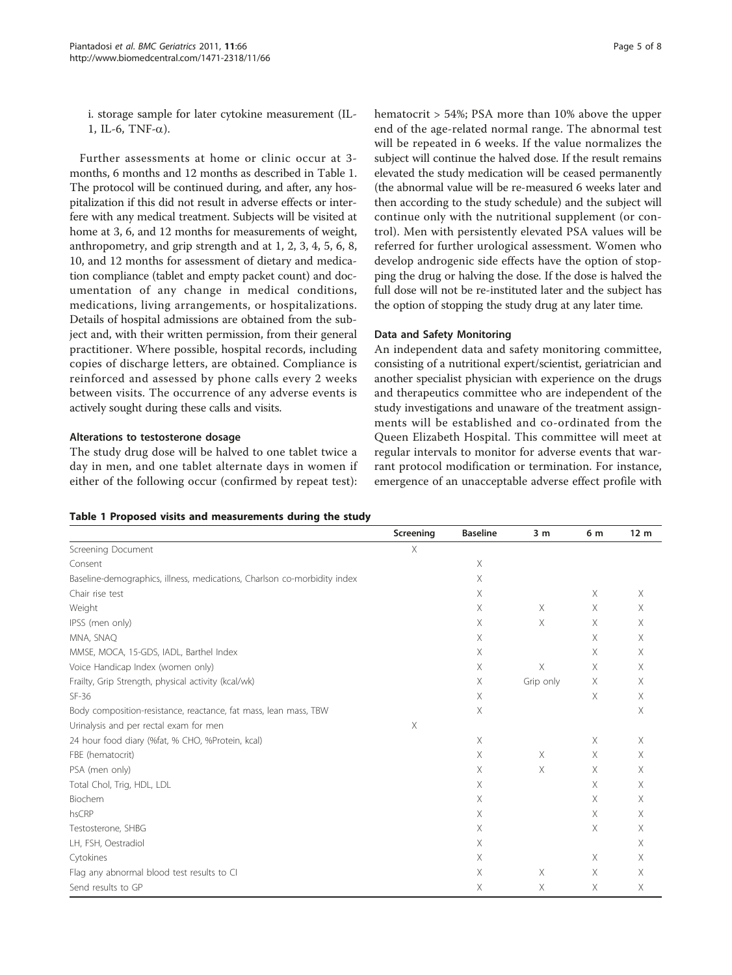i. storage sample for later cytokine measurement (IL-1, IL-6, TNF- $\alpha$ ).

Further assessments at home or clinic occur at 3 months, 6 months and 12 months as described in Table 1. The protocol will be continued during, and after, any hospitalization if this did not result in adverse effects or interfere with any medical treatment. Subjects will be visited at home at 3, 6, and 12 months for measurements of weight, anthropometry, and grip strength and at 1, 2, 3, 4, 5, 6, 8, 10, and 12 months for assessment of dietary and medication compliance (tablet and empty packet count) and documentation of any change in medical conditions, medications, living arrangements, or hospitalizations. Details of hospital admissions are obtained from the subject and, with their written permission, from their general practitioner. Where possible, hospital records, including copies of discharge letters, are obtained. Compliance is reinforced and assessed by phone calls every 2 weeks between visits. The occurrence of any adverse events is actively sought during these calls and visits.

#### Alterations to testosterone dosage

The study drug dose will be halved to one tablet twice a day in men, and one tablet alternate days in women if either of the following occur (confirmed by repeat test): hematocrit > 54%; PSA more than 10% above the upper end of the age-related normal range. The abnormal test will be repeated in 6 weeks. If the value normalizes the subject will continue the halved dose. If the result remains elevated the study medication will be ceased permanently (the abnormal value will be re-measured 6 weeks later and then according to the study schedule) and the subject will continue only with the nutritional supplement (or control). Men with persistently elevated PSA values will be referred for further urological assessment. Women who develop androgenic side effects have the option of stopping the drug or halving the dose. If the dose is halved the full dose will not be re-instituted later and the subject has the option of stopping the study drug at any later time.

#### Data and Safety Monitoring

An independent data and safety monitoring committee, consisting of a nutritional expert/scientist, geriatrician and another specialist physician with experience on the drugs and therapeutics committee who are independent of the study investigations and unaware of the treatment assignments will be established and co-ordinated from the Queen Elizabeth Hospital. This committee will meet at regular intervals to monitor for adverse events that warrant protocol modification or termination. For instance, emergence of an unacceptable adverse effect profile with

|  |  |  |  |  | Table 1 Proposed visits and measurements during the study |  |  |  |
|--|--|--|--|--|-----------------------------------------------------------|--|--|--|
|--|--|--|--|--|-----------------------------------------------------------|--|--|--|

|                                                                          | Screening | <b>Baseline</b>           | 3 <sub>m</sub> | 6 m      | 12 <sub>m</sub> |
|--------------------------------------------------------------------------|-----------|---------------------------|----------------|----------|-----------------|
| Screening Document                                                       | X         |                           |                |          |                 |
| Consent                                                                  |           | $\times$                  |                |          |                 |
| Baseline-demographics, illness, medications, Charlson co-morbidity index |           | Χ                         |                |          |                 |
| Chair rise test                                                          |           | $\boldsymbol{\mathsf{X}}$ |                | $\times$ | $\mathsf X$     |
| Weight                                                                   |           | Χ                         | $\times$       | X        | X               |
| IPSS (men only)                                                          |           | X                         | X              | Χ        | Χ               |
| MNA, SNAQ                                                                |           | X                         |                | X        | X               |
| MMSE, MOCA, 15-GDS, IADL, Barthel Index                                  |           | Χ                         |                | Χ        | X               |
| Voice Handicap Index (women only)                                        |           | Χ                         | Χ              | Χ        | X               |
| Frailty, Grip Strength, physical activity (kcal/wk)                      |           | X                         | Grip only      | X        | X               |
| $SF-36$                                                                  |           | X                         |                | Χ        | Χ               |
| Body composition-resistance, reactance, fat mass, lean mass, TBW         |           | $\times$                  |                |          | X               |
| Urinalysis and per rectal exam for men                                   | X         |                           |                |          |                 |
| 24 hour food diary (%fat, % CHO, %Protein, kcal)                         |           | $\boldsymbol{\mathsf{X}}$ |                | $\times$ | X               |
| FBE (hematocrit)                                                         |           | X                         | X              | X        | X               |
| PSA (men only)                                                           |           | X                         | X              | X        | X               |
| Total Chol, Trig, HDL, LDL                                               |           | X                         |                | X        | X               |
| Biochem                                                                  |           | X                         |                | X        | X               |
| hsCRP                                                                    |           | Χ                         |                | Χ        | Χ               |
| Testosterone, SHBG                                                       |           | X                         |                | $\times$ | X               |
| LH, FSH, Oestradiol                                                      |           | X                         |                |          | X               |
| Cytokines                                                                |           | Χ                         |                | Χ        | Χ               |
| Flag any abnormal blood test results to CI                               |           | $\boldsymbol{\mathsf{X}}$ | $\times$       | $\times$ | X               |
| Send results to GP                                                       |           | Χ                         | Χ              | $\times$ | Χ               |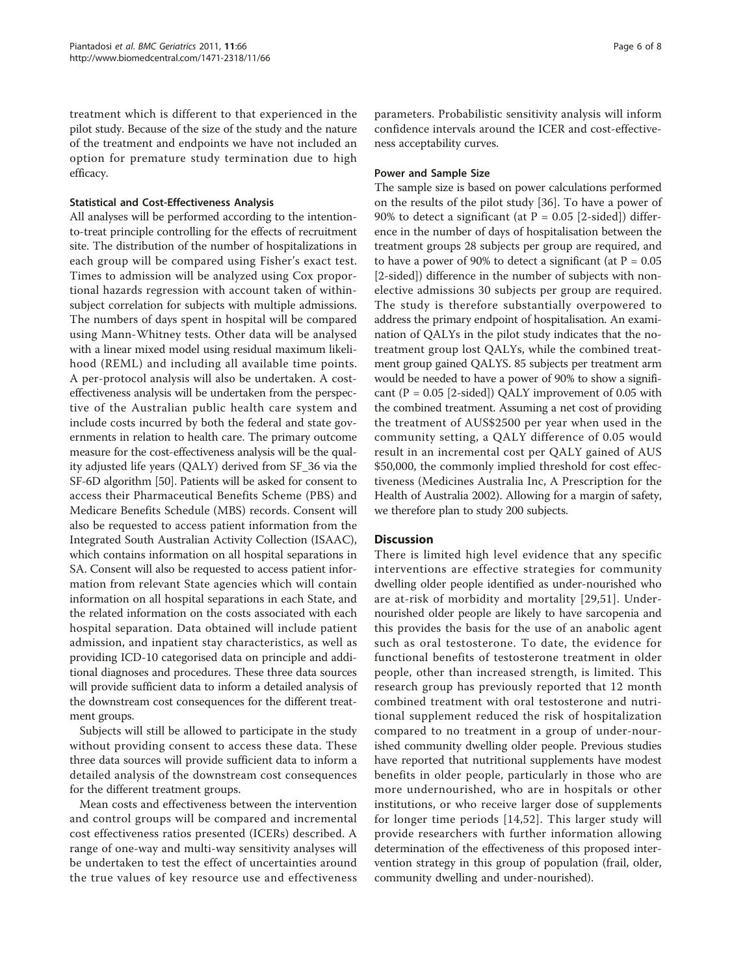treatment which is different to that experienced in the pilot study. Because of the size of the study and the nature of the treatment and endpoints we have not included an option for premature study termination due to high efficacy.

### Statistical and Cost-Effectiveness Analysis

All analyses will be performed according to the intentionto-treat principle controlling for the effects of recruitment site. The distribution of the number of hospitalizations in each group will be compared using Fisher's exact test. Times to admission will be analyzed using Cox proportional hazards regression with account taken of withinsubject correlation for subjects with multiple admissions. The numbers of days spent in hospital will be compared using Mann-Whitney tests. Other data will be analysed with a linear mixed model using residual maximum likelihood (REML) and including all available time points. A per-protocol analysis will also be undertaken. A costeffectiveness analysis will be undertaken from the perspective of the Australian public health care system and include costs incurred by both the federal and state governments in relation to health care. The primary outcome measure for the cost-effectiveness analysis will be the quality adjusted life years (QALY) derived from SF\_36 via the SF-6D algorithm [\[50\]](#page-7-0). Patients will be asked for consent to access their Pharmaceutical Benefits Scheme (PBS) and Medicare Benefits Schedule (MBS) records. Consent will also be requested to access patient information from the Integrated South Australian Activity Collection (ISAAC), which contains information on all hospital separations in SA. Consent will also be requested to access patient information from relevant State agencies which will contain information on all hospital separations in each State, and the related information on the costs associated with each hospital separation. Data obtained will include patient admission, and inpatient stay characteristics, as well as providing ICD-10 categorised data on principle and additional diagnoses and procedures. These three data sources will provide sufficient data to inform a detailed analysis of the downstream cost consequences for the different treatment groups.

Subjects will still be allowed to participate in the study without providing consent to access these data. These three data sources will provide sufficient data to inform a detailed analysis of the downstream cost consequences for the different treatment groups.

Mean costs and effectiveness between the intervention and control groups will be compared and incremental cost effectiveness ratios presented (ICERs) described. A range of one-way and multi-way sensitivity analyses will be undertaken to test the effect of uncertainties around the true values of key resource use and effectiveness

parameters. Probabilistic sensitivity analysis will inform confidence intervals around the ICER and cost-effectiveness acceptability curves.

#### Power and Sample Size

The sample size is based on power calculations performed on the results of the pilot study [[36](#page-6-0)]. To have a power of 90% to detect a significant (at  $P = 0.05$  [2-sided]) difference in the number of days of hospitalisation between the treatment groups 28 subjects per group are required, and to have a power of 90% to detect a significant (at  $P = 0.05$ [2-sided]) difference in the number of subjects with nonelective admissions 30 subjects per group are required. The study is therefore substantially overpowered to address the primary endpoint of hospitalisation. An examination of QALYs in the pilot study indicates that the notreatment group lost QALYs, while the combined treatment group gained QALYS. 85 subjects per treatment arm would be needed to have a power of 90% to show a significant ( $P = 0.05$  [2-sided]) QALY improvement of 0.05 with the combined treatment. Assuming a net cost of providing the treatment of AUS\$2500 per year when used in the community setting, a QALY difference of 0.05 would result in an incremental cost per QALY gained of AUS \$50,000, the commonly implied threshold for cost effectiveness (Medicines Australia Inc, A Prescription for the Health of Australia 2002). Allowing for a margin of safety, we therefore plan to study 200 subjects.

# **Discussion**

There is limited high level evidence that any specific interventions are effective strategies for community dwelling older people identified as under-nourished who are at-risk of morbidity and mortality [[29](#page-6-0)[,51\]](#page-7-0). Undernourished older people are likely to have sarcopenia and this provides the basis for the use of an anabolic agent such as oral testosterone. To date, the evidence for functional benefits of testosterone treatment in older people, other than increased strength, is limited. This research group has previously reported that 12 month combined treatment with oral testosterone and nutritional supplement reduced the risk of hospitalization compared to no treatment in a group of under-nourished community dwelling older people. Previous studies have reported that nutritional supplements have modest benefits in older people, particularly in those who are more undernourished, who are in hospitals or other institutions, or who receive larger dose of supplements for longer time periods [[14](#page-6-0),[52](#page-7-0)]. This larger study will provide researchers with further information allowing determination of the effectiveness of this proposed intervention strategy in this group of population (frail, older, community dwelling and under-nourished).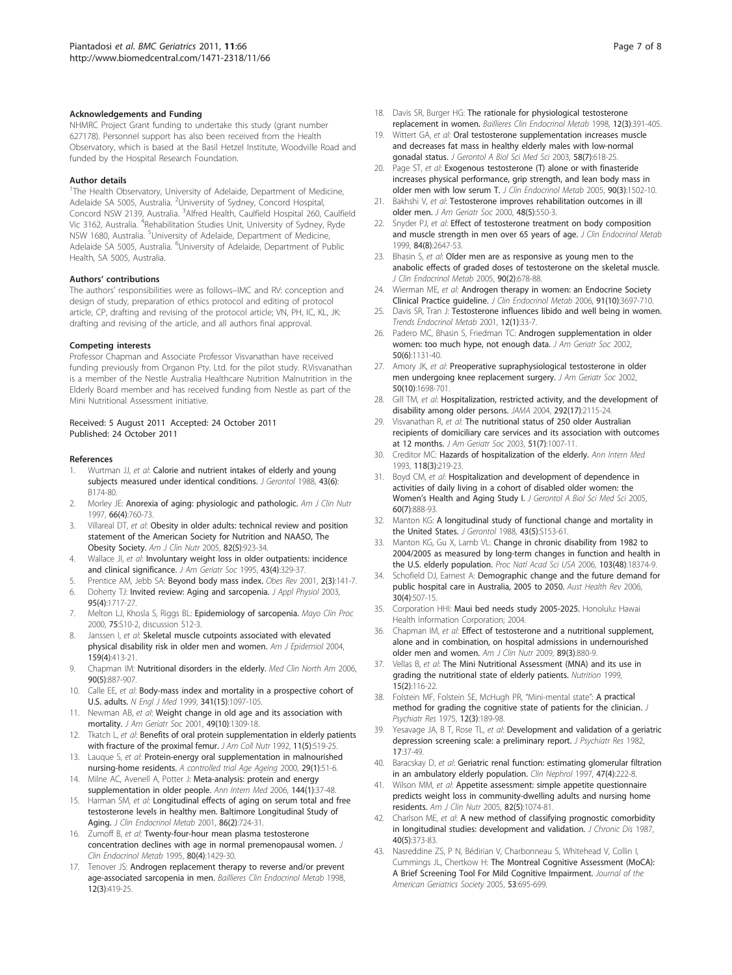#### <span id="page-6-0"></span>Acknowledgements and Funding

NHMRC Project Grant funding to undertake this study (grant number 627178). Personnel support has also been received from the Health Observatory, which is based at the Basil Hetzel Institute, Woodville Road and funded by the Hospital Research Foundation.

#### Author details

<sup>1</sup>The Health Observatory, University of Adelaide, Department of Medicine, Adelaide SA 5005, Australia. <sup>2</sup>University of Sydney, Concord Hospital, Concord NSW 2139, Australia. <sup>3</sup>Alfred Health, Caulfield Hospital 260, Caulfield Vic 3162, Australia. <sup>4</sup>Rehabilitation Studies Unit, University of Sydney, Ryde NSW 1680, Australia. <sup>5</sup>University of Adelaide, Department of Medicine, Adelaide SA 5005, Australia. <sup>6</sup>University of Adelaide, Department of Public Health, SA 5005, Australia.

#### Authors' contributions

The authors' responsibilities were as follows–IMC and RV: conception and design of study, preparation of ethics protocol and editing of protocol article, CP, drafting and revising of the protocol article; VN, PH, IC, KL, JK: drafting and revising of the article, and all authors final approval.

#### Competing interests

Professor Chapman and Associate Professor Visvanathan have received funding previously from Organon Pty. Ltd. for the pilot study. R.Visvanathan is a member of the Nestle Australia Healthcare Nutrition Malnutrition in the Elderly Board member and has received funding from Nestle as part of the Mini Nutritional Assessment initiative.

#### Received: 5 August 2011 Accepted: 24 October 2011 Published: 24 October 2011

#### References

- 1. Wurtman JJ, et al: [Calorie and nutrient intakes of elderly and young](http://www.ncbi.nlm.nih.gov/pubmed/3183304?dopt=Abstract) [subjects measured under identical conditions.](http://www.ncbi.nlm.nih.gov/pubmed/3183304?dopt=Abstract) J Gerontol 1988, 43(6): B174-80.
- 2. Morley JE: [Anorexia of aging: physiologic and pathologic.](http://www.ncbi.nlm.nih.gov/pubmed/9322549?dopt=Abstract) Am J Clin Nutr 1997, 66(4):760-73.
- 3. Villareal DT, et al: [Obesity in older adults: technical review and position](http://www.ncbi.nlm.nih.gov/pubmed/16280421?dopt=Abstract) [statement of the American Society for Nutrition and NAASO, The](http://www.ncbi.nlm.nih.gov/pubmed/16280421?dopt=Abstract) [Obesity Society.](http://www.ncbi.nlm.nih.gov/pubmed/16280421?dopt=Abstract) Am J Clin Nutr 2005, 82(5):923-34.
- 4. Wallace JI, et al: [Involuntary weight loss in older outpatients: incidence](http://www.ncbi.nlm.nih.gov/pubmed/7706619?dopt=Abstract) [and clinical significance.](http://www.ncbi.nlm.nih.gov/pubmed/7706619?dopt=Abstract) J Am Geriatr Soc 1995, 43(4):329-37.
- 5. Prentice AM, Jebb SA: [Beyond body mass index.](http://www.ncbi.nlm.nih.gov/pubmed/12120099?dopt=Abstract) Obes Rev 2001, 2(3):141-7.
- 6. Doherty TJ: [Invited review: Aging and sarcopenia.](http://www.ncbi.nlm.nih.gov/pubmed/12970377?dopt=Abstract) J Appl Physiol 2003, 95(4):1717-27.
- 7. Melton LJ, Khosla S, Riggs BL: [Epidemiology of sarcopenia.](http://www.ncbi.nlm.nih.gov/pubmed/10959209?dopt=Abstract) Mayo Clin Proc 2000, 75:S10-2, discussion S12-3.
- 8. Janssen I, et al: [Skeletal muscle cutpoints associated with elevated](http://www.ncbi.nlm.nih.gov/pubmed/14769646?dopt=Abstract) [physical disability risk in older men and women.](http://www.ncbi.nlm.nih.gov/pubmed/14769646?dopt=Abstract) Am J Epidemiol 2004, 159(4):413-21.
- 9. Chapman IM: [Nutritional disorders in the elderly.](http://www.ncbi.nlm.nih.gov/pubmed/16962848?dopt=Abstract) Med Clin North Am 2006, 90(5):887-907.
- 10. Calle EE, et al: [Body-mass index and mortality in a prospective cohort of](http://www.ncbi.nlm.nih.gov/pubmed/10511607?dopt=Abstract) [U.S. adults.](http://www.ncbi.nlm.nih.gov/pubmed/10511607?dopt=Abstract) N Engl J Med 1999, 341(15):1097-105.
- 11. Newman AB, et al: [Weight change in old age and its association with](http://www.ncbi.nlm.nih.gov/pubmed/11890489?dopt=Abstract) [mortality.](http://www.ncbi.nlm.nih.gov/pubmed/11890489?dopt=Abstract) J Am Geriatr Soc 2001, 49(10):1309-18.
- 12. Tkatch L, et al: [Benefits of oral protein supplementation in elderly patients](http://www.ncbi.nlm.nih.gov/pubmed/1452950?dopt=Abstract) [with fracture of the proximal femur.](http://www.ncbi.nlm.nih.gov/pubmed/1452950?dopt=Abstract) J Am Coll Nutr 1992, 11(5):519-25.
- 13. Lauque S, et al: Protein-energy oral supplementation in malnourished nursing-home residents. A controlled trial Age Ageing 2000, 29(1):51-6.
- 14. Milne AC, Avenell A, Potter J: [Meta-analysis: protein and energy](http://www.ncbi.nlm.nih.gov/pubmed/16389253?dopt=Abstract) [supplementation in older people.](http://www.ncbi.nlm.nih.gov/pubmed/16389253?dopt=Abstract) Ann Intern Med 2006, 144(1):37-48.
- 15. Harman SM, et al: [Longitudinal effects of aging on serum total and free](http://www.ncbi.nlm.nih.gov/pubmed/11158037?dopt=Abstract) [testosterone levels in healthy men. Baltimore Longitudinal Study of](http://www.ncbi.nlm.nih.gov/pubmed/11158037?dopt=Abstract) [Aging.](http://www.ncbi.nlm.nih.gov/pubmed/11158037?dopt=Abstract) J Clin Endocrinol Metab 2001, 86(2):724-31.
- 16. Zumoff B, et al: [Twenty-four-hour mean plasma testosterone](http://www.ncbi.nlm.nih.gov/pubmed/7714119?dopt=Abstract) [concentration declines with age in normal premenopausal women.](http://www.ncbi.nlm.nih.gov/pubmed/7714119?dopt=Abstract) J Clin Endocrinol Metab 1995, 80(4):1429-30.
- 17. Tenover JS: [Androgen replacement therapy to reverse and/or prevent](http://www.ncbi.nlm.nih.gov/pubmed/10332563?dopt=Abstract) [age-associated sarcopenia in men.](http://www.ncbi.nlm.nih.gov/pubmed/10332563?dopt=Abstract) Baillieres Clin Endocrinol Metab 1998, 12(3):419-25.
- 18. Davis SR, Burger HG: [The rationale for physiological testosterone](http://www.ncbi.nlm.nih.gov/pubmed/10332561?dopt=Abstract) [replacement in women.](http://www.ncbi.nlm.nih.gov/pubmed/10332561?dopt=Abstract) Baillieres Clin Endocrinol Metab 1998, 12(3):391-405.
- 19. Wittert GA, et al: [Oral testosterone supplementation increases muscle](http://www.ncbi.nlm.nih.gov/pubmed/12865477?dopt=Abstract) [and decreases fat mass in healthy elderly males with low-normal](http://www.ncbi.nlm.nih.gov/pubmed/12865477?dopt=Abstract) [gonadal status.](http://www.ncbi.nlm.nih.gov/pubmed/12865477?dopt=Abstract) J Gerontol A Biol Sci Med Sci 2003, 58(7):618-25.
- 20. Page ST, et al: [Exogenous testosterone \(T\) alone or with finasteride](http://www.ncbi.nlm.nih.gov/pubmed/15572415?dopt=Abstract) [increases physical performance, grip strength, and lean body mass in](http://www.ncbi.nlm.nih.gov/pubmed/15572415?dopt=Abstract) [older men with low serum T.](http://www.ncbi.nlm.nih.gov/pubmed/15572415?dopt=Abstract) J Clin Endocrinol Metab 2005, 90(3):1502-10.
- 21. Bakhshi V, et al: [Testosterone improves rehabilitation outcomes in ill](http://www.ncbi.nlm.nih.gov/pubmed/10811549?dopt=Abstract) [older men.](http://www.ncbi.nlm.nih.gov/pubmed/10811549?dopt=Abstract) J Am Geriatr Soc 2000, 48(5):550-3.
- 22. Snyder PJ, et al: [Effect of testosterone treatment on body composition](http://www.ncbi.nlm.nih.gov/pubmed/10443654?dopt=Abstract) [and muscle strength in men over 65 years of age.](http://www.ncbi.nlm.nih.gov/pubmed/10443654?dopt=Abstract) J Clin Endocrinol Metab 1999, 84(8):2647-53.
- 23. Bhasin S, et al: [Older men are as responsive as young men to the](http://www.ncbi.nlm.nih.gov/pubmed/15562020?dopt=Abstract) [anabolic effects of graded doses of testosterone on the skeletal muscle.](http://www.ncbi.nlm.nih.gov/pubmed/15562020?dopt=Abstract) J Clin Endocrinol Metab 2005, 90(2):678-88.
- 24. Wierman ME, et al: [Androgen therapy in women: an Endocrine Society](http://www.ncbi.nlm.nih.gov/pubmed/17018650?dopt=Abstract) [Clinical Practice guideline.](http://www.ncbi.nlm.nih.gov/pubmed/17018650?dopt=Abstract) J Clin Endocrinol Metab 2006, 91(10):3697-710.
- 25. Davis SR, Tran J: [Testosterone influences libido and well being in women.](http://www.ncbi.nlm.nih.gov/pubmed/11137039?dopt=Abstract) Trends Endocrinol Metab 2001, 12(1):33-7.
- 26. Padero MC, Bhasin S, Friedman TC: [Androgen supplementation in older](http://www.ncbi.nlm.nih.gov/pubmed/12110078?dopt=Abstract) [women: too much hype, not enough data.](http://www.ncbi.nlm.nih.gov/pubmed/12110078?dopt=Abstract) J Am Geriatr Soc 2002, 50(6):1131-40.
- 27. Amory JK, et al: [Preoperative supraphysiological testosterone in older](http://www.ncbi.nlm.nih.gov/pubmed/12366624?dopt=Abstract) [men undergoing knee replacement surgery.](http://www.ncbi.nlm.nih.gov/pubmed/12366624?dopt=Abstract) J Am Geriatr Soc 2002, 50(10):1698-701.
- 28. Gill TM, et al: [Hospitalization, restricted activity, and the development of](http://www.ncbi.nlm.nih.gov/pubmed/15523072?dopt=Abstract) [disability among older persons.](http://www.ncbi.nlm.nih.gov/pubmed/15523072?dopt=Abstract) JAMA 2004, 292(17):2115-24.
- 29. Visvanathan R, et al: [The nutritional status of 250 older Australian](http://www.ncbi.nlm.nih.gov/pubmed/12834523?dopt=Abstract) [recipients of domiciliary care services and its association with outcomes](http://www.ncbi.nlm.nih.gov/pubmed/12834523?dopt=Abstract) [at 12 months.](http://www.ncbi.nlm.nih.gov/pubmed/12834523?dopt=Abstract) J Am Geriatr Soc 2003, 51(7):1007-11.
- 30. Creditor MC: [Hazards of hospitalization of the elderly.](http://www.ncbi.nlm.nih.gov/pubmed/8417639?dopt=Abstract) Ann Intern Med 1993, 118(3):219-23.
- 31. Boyd CM, et al: [Hospitalization and development of dependence in](http://www.ncbi.nlm.nih.gov/pubmed/16079213?dopt=Abstract) [activities of daily living in a cohort of disabled older women: the](http://www.ncbi.nlm.nih.gov/pubmed/16079213?dopt=Abstract) Women'[s Health and Aging Study I.](http://www.ncbi.nlm.nih.gov/pubmed/16079213?dopt=Abstract) J Gerontol A Biol Sci Med Sci 2005, 60(7):888-93.
- 32. Manton KG: [A longitudinal study of functional change and mortality in](http://www.ncbi.nlm.nih.gov/pubmed/2971088?dopt=Abstract) [the United States.](http://www.ncbi.nlm.nih.gov/pubmed/2971088?dopt=Abstract) J Gerontol 1988, 43(5):S153-61.
- 33. Manton KG, Gu X, Lamb VL: [Change in chronic disability from 1982 to](http://www.ncbi.nlm.nih.gov/pubmed/17101963?dopt=Abstract) [2004/2005 as measured by long-term changes in function and health in](http://www.ncbi.nlm.nih.gov/pubmed/17101963?dopt=Abstract) [the U.S. elderly population.](http://www.ncbi.nlm.nih.gov/pubmed/17101963?dopt=Abstract) Proc Natl Acad Sci USA 2006, 103(48):18374-9.
- 34. Schofield DJ, Earnest A: [Demographic change and the future demand for](http://www.ncbi.nlm.nih.gov/pubmed/17073546?dopt=Abstract) [public hospital care in Australia, 2005 to 2050.](http://www.ncbi.nlm.nih.gov/pubmed/17073546?dopt=Abstract) Aust Health Rev 2006, 30(4):507-15.
- 35. Corporation HHI: Maui bed needs study 2005-2025. Honolulu: Hawai Health Information Corporation; 2004.
- 36. Chapman IM, et al: [Effect of testosterone and a nutritional supplement,](http://www.ncbi.nlm.nih.gov/pubmed/19144729?dopt=Abstract) [alone and in combination, on hospital admissions in undernourished](http://www.ncbi.nlm.nih.gov/pubmed/19144729?dopt=Abstract) [older men and women.](http://www.ncbi.nlm.nih.gov/pubmed/19144729?dopt=Abstract) Am J Clin Nutr 2009, 89(3):880-9.
- 37. Vellas B, et al: [The Mini Nutritional Assessment \(MNA\) and its use in](http://www.ncbi.nlm.nih.gov/pubmed/9990575?dopt=Abstract) [grading the nutritional state of elderly patients.](http://www.ncbi.nlm.nih.gov/pubmed/9990575?dopt=Abstract) Nutrition 1999, 15(2):116-22.
- 38. Folstein MF, Folstein SE, McHugh PR, "Mini-mental state": A [practical](http://www.ncbi.nlm.nih.gov/pubmed/1202204?dopt=Abstract) method [for grading the cognitive state of patients for the clinician.](http://www.ncbi.nlm.nih.gov/pubmed/1202204?dopt=Abstract) J Psychiatr Res 1975, 12(3):189-98.
- 39. Yesavage JA, B T, Rose TL, et al: [Development and validation of a geriatric](http://www.ncbi.nlm.nih.gov/pubmed/7183759?dopt=Abstract) [depression screening scale: a preliminary report.](http://www.ncbi.nlm.nih.gov/pubmed/7183759?dopt=Abstract) J Psychiatr Res 1982, 17:37-49.
- 40. Baracskay D, et al: [Geriatric renal function: estimating glomerular filtration](http://www.ncbi.nlm.nih.gov/pubmed/9128788?dopt=Abstract) [in an ambulatory elderly population.](http://www.ncbi.nlm.nih.gov/pubmed/9128788?dopt=Abstract) Clin Nephrol 1997, 47(4):222-8.
- 41. Wilson MM, et al: [Appetite assessment: simple appetite questionnaire](http://www.ncbi.nlm.nih.gov/pubmed/16280441?dopt=Abstract) [predicts weight loss in community-dwelling adults and nursing home](http://www.ncbi.nlm.nih.gov/pubmed/16280441?dopt=Abstract) [residents.](http://www.ncbi.nlm.nih.gov/pubmed/16280441?dopt=Abstract) Am J Clin Nutr 2005, 82(5):1074-81.
- 42. Charlson ME, et al: [A new method of classifying prognostic comorbidity](http://www.ncbi.nlm.nih.gov/pubmed/3558716?dopt=Abstract) [in longitudinal studies: development and validation.](http://www.ncbi.nlm.nih.gov/pubmed/3558716?dopt=Abstract) J Chronic Dis 1987, 40(5):373-83.
- 43. Nasreddine ZS, P N, Bédirian V, Charbonneau S, Whitehead V, Collin I, Cummings JL, Chertkow H: [The Montreal Cognitive Assessment \(MoCA\):](http://www.ncbi.nlm.nih.gov/pubmed/15817019?dopt=Abstract) [A Brief Screening Tool For Mild Cognitive Impairment.](http://www.ncbi.nlm.nih.gov/pubmed/15817019?dopt=Abstract) Journal of the American Geriatrics Society 2005, 53:695-699.